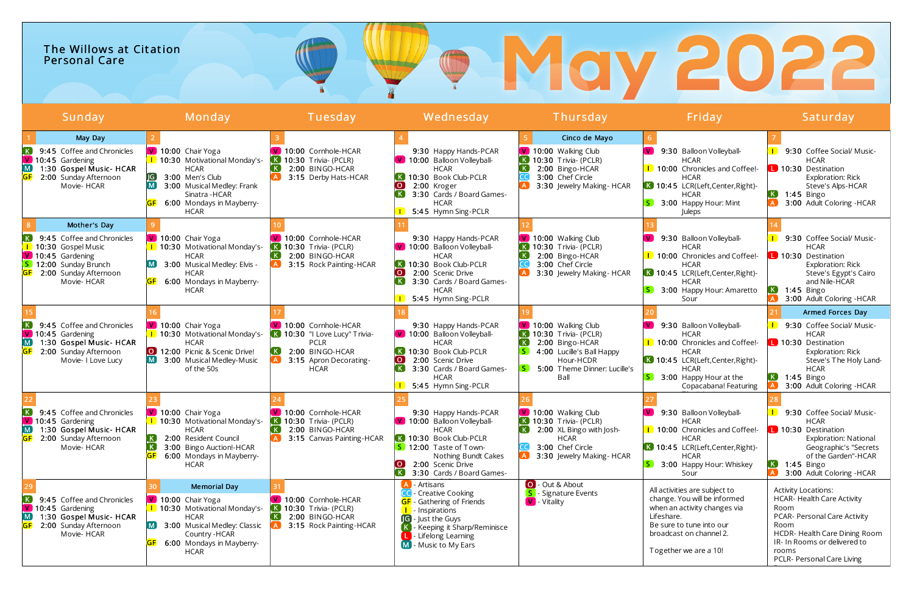| The Willows at Citation<br><b>Personal Care</b> |        |                                  |         |      |  |
|-------------------------------------------------|--------|----------------------------------|---------|------|--|
| Sunday                                          | Mondav | Wednesday<br><sup>r</sup> uesdav | hursday | Tday |  |

| ------                                                                                                                                                                       | 1.1.9.1.9.9.7                                                                                                                                                                                              | .                                                                                                                                        | .                                                                                                                                                                                                                                     |                                                                                                                                                                  | .                                                                                                                                                                                              |                                                                                                                                                                                                                                                          |
|------------------------------------------------------------------------------------------------------------------------------------------------------------------------------|------------------------------------------------------------------------------------------------------------------------------------------------------------------------------------------------------------|------------------------------------------------------------------------------------------------------------------------------------------|---------------------------------------------------------------------------------------------------------------------------------------------------------------------------------------------------------------------------------------|------------------------------------------------------------------------------------------------------------------------------------------------------------------|------------------------------------------------------------------------------------------------------------------------------------------------------------------------------------------------|----------------------------------------------------------------------------------------------------------------------------------------------------------------------------------------------------------------------------------------------------------|
| May Day<br>9:45 Coffee and Chronicles<br>$\boxed{\mathsf{V}}$ 10:45 Gardening<br>$\overline{M}$<br>1:30 Gospel Music- HCAR<br>2:00 Sunday Afternoon<br>Movie-HCAR            | V 10:00 Chair Yoga<br>1 10:30 Motivational Monday's-<br><b>HCAR</b><br>$\sqrt{G}$<br>3:00 Men's Club<br>[M]<br>3:00 Musical Medley: Frank<br>Sinatra - HCAR<br>6:00 Mondays in Mayberry-                   | V 10:00 Cornhole-HCAR<br>10:30 Trivia- (PCLR)<br>. K .<br>2:00 BINGO-HCAR<br>3:15 Derby Hats-HCAR                                        | 9:30 Happy Hands-PCAR<br>V 10:00 Balloon Volleyball-<br><b>HCAR</b><br><b>K</b> 10:30 Book Club-PCLR<br>$\overline{\mathbf{o}}$<br>2:00 Kroger<br>K<br>3:30 Cards / Board Games-<br><b>HCAR</b>                                       | Cinco de Mayo<br>V 10:00 Walking Club<br><b>K</b> 10:30 Trivia- (PCLR)<br>2:00 Bingo-HCAR<br>3:00 Chef Circle<br>3:30 Jewelry Making-HCAR                        | 9:30 Balloon Volleyball-<br><b>HCAR</b><br>10:00 Chronicles and Coffee!<br><b>HCAR</b><br>K 10:45 LCR(Left,Center,Right)-<br><b>HCAR</b><br>3:00 Happy Hour: Mint                              | 9:30 Coffee Social/ Music-<br><b>HCAR</b><br>L 10:30 Destination<br>Exploration: Rick<br>Steve's Alps-HCAR<br>(K)<br>$1:45$ Bingo<br>3:00 Adult Coloring - HCAR                                                                                          |
| Mother's Day<br>9:45 Coffee and Chronicles<br>10:30 Gospel Music<br>$\boxed{\mathsf{V}}$ 10:45 Gardening<br>S.<br>12:00 Sunday Brunch<br>2:00 Sunday Afternoon<br>Movie-HCAR | <b>HCAR</b><br>V 10:00 Chair Yoga<br>1 10:30 Motivational Monday's-<br><b>HCAR</b><br>3:00 Musical Medley: Elvis -<br>HCAR<br>6:00 Mondays in Mayberry-<br><b>HCAR</b>                                     | 10:00 Cornhole-HCAR<br>10:30 Trivia- (PCLR)<br>2:00 BINGO-HCAR<br>3:15 Rock Painting-HCAR                                                | 5:45 Hymn Sing-PCLR<br>9:30 Happy Hands-PCAR<br>V 10:00 Balloon Volleyball-<br><b>HCAR</b><br>K 10:30 Book Club-PCLR<br>$\overline{)}$<br>2:00 Scenic Drive<br> K <br>3:30 Cards / Board Games-<br><b>HCAR</b><br>5:45 Hymn Sing-PCLR | V 10:00 Walking Club<br>$\overline{K}$ 10:30 Trivia- (PCLR)<br>2:00 Bingo-HCAR<br>3:00 Chef Circle<br>3:30 Jewelry Making-HCAR                                   | Juleps<br>9:30 Balloon Volleyball-<br><b>HCAR</b><br>10:00 Chronicles and Coffee!-<br><b>HCAR</b><br>K 10:45 LCR(Left,Center,Right)-<br><b>HCAR</b><br>3:00 Happy Hour: Amaretto<br>Sour       | 9:30 Coffee Social/ Music-<br><b>HCAR</b><br>L 10:30 Destination<br>Exploration: Rick<br>Steve's Egypt's Cairo<br>and Nile-HCAR<br>$1:45$ Bingo<br>3:00 Adult Coloring - HCAR                                                                            |
| 9:45 Coffee and Chronicles<br>V 10:45 Gardening<br>$\overline{\mathsf{M}}$<br>1:30 Gospel Music- HCAR<br>2:00 Sunday Afternoon<br>Movie- I Love Lucy                         | $\sqrt{9}$ 10:00 Chair Yoga<br><b>1</b> 10:30 Motivational Monday's-<br><b>HCAR</b><br>0 12:00 Picnic & Scenic Drive!<br>3:00 Musical Medley-Music<br>of the 50s                                           | V 10:00 Cornhole-HCAR<br>10:30 "I Love Lucy" Trivia-<br>. K J<br><b>PCLR</b><br>2:00 BINGO-HCAR<br>3:15 Apron Decorating-<br><b>HCAR</b> | 9:30 Happy Hands-PCAR<br>V 10:00 Balloon Volleyball-<br><b>HCAR</b><br>K 10:30 Book Club-PCLR<br>2:00 Scenic Drive<br>$\overline{O}$<br>$\vert K \vert$<br>3:30 Cards / Board Games-<br><b>HCAR</b><br>5:45 Hymn Sing-PCLR            | V 10:00 Walking Club<br><b>K</b> 10:30 Trivia- (PCLR)<br>2:00 Bingo-HCAR<br>4:00 Lucille's Ball Happy<br>Hour-HCDR<br>S.<br>5:00 Theme Dinner: Lucille's<br>Ball | 9:30 Balloon Volleyball-<br><b>HCAR</b><br>1 10:00 Chronicles and Coffee!-<br><b>HCAR</b><br>K 10:45 LCR(Left,Center,Right)-<br><b>HCAR</b><br>3:00 Happy Hour at the<br>Copacabana! Featuring | Armed Forces Day<br>9:30 Coffee Social/ Music-<br><b>HCAR</b><br>10:30 Destination<br><b>Exploration: Rick</b><br>Steve's The Holy Land-<br><b>HCAR</b><br>(K)<br>$1:45$ Bingo<br>3:00 Adult Coloring - HCAR                                             |
| 9:45 Coffee and Chronicles<br>$\boxed{\mathsf{V}}$ 10:45 Gardening<br>1:30 Gospel Music- HCAR<br>2:00 Sunday Afternoon<br>Movie-HCAR                                         | V 10:00 Chair Yoga<br>1 10:30 Motivational Monday's-<br><b>HCAR</b><br>2:00 Resident Council<br>3:00 Bingo Auction!-HCAR<br>6:00 Mondays in Mayberry-<br><b>HCAR</b>                                       | 10:00 Cornhole-HCAR<br>10:30 Trivia- (PCLR)<br>2:00 BINGO-HCAR<br>3:15 Canvas Painting-HCAR                                              | 9:30 Happy Hands-PCAR<br>V 10:00 Balloon Volleyball-<br><b>HCAR</b><br>K 10:30 Book Club-PCLR<br>S 12:00 Taste of Town-<br>Nothing Bundt Cakes<br>$\overline{\text{O}}$<br>2:00 Scenic Drive<br><b>K</b><br>3:30 Cards / Board Games- | V 10:00 Walking Club<br>$\overline{K}$ 10:30 Trivia- (PCLR)<br>2:00 XL Bingo with Josh-<br><b>HCAR</b><br>3:00 Chef Circle<br><b>A</b> 3:30 Jewelry Making-HCAR  | 9:30 Balloon Volleyball-<br><b>HCAR</b><br>1 10:00 Chronicles and Coffee!-<br><b>HCAR</b><br>K 10:45 LCR(Left,Center,Right)-<br><b>HCAR</b><br>3:00 Happy Hour: Whiskey<br>Sour                | 9:30 Coffee Social/ Music-<br><b>HCAR</b><br>10:30 Destination<br><b>Exploration: National</b><br>Geographic's "Secrets<br>of the Garden"-HCAR<br>$\left( \mathbf{K}\right)$<br>$1:45$ Bingo<br>$\left[ \mathbf{A} \right]$<br>3:00 Adult Coloring -HCAR |
| $\left( \mathbf{K}\right)$<br>9:45 Coffee and Chronicles<br>V 10:45 Gardening<br>$\boxed{\mathsf{M}}$<br>1:30 Gospel Music- HCAR<br>2:00 Sunday Afternoon<br>Movie-HCAR      | <b>Memorial Day</b><br>V 10:00 Chair Yoga<br>1 10:30 Motivational Monday's-<br><b>HCAR</b><br>3:00 Musical Medley: Classic<br>$\blacksquare$<br>Country - HCAR<br>6:00 Mondays in Mayberry-<br><b>HCAR</b> | V 10:00 Cornhole-HCAR<br>10:30 Trivia- (PCLR)<br>(K)<br>2:00 BINGO-HCAR<br>3:15 Rock Painting-HCAR                                       | - Artisans<br><b>CC</b> - Creative Cooking<br><b>GF</b> - Gathering of Friends<br><b>I</b> - Inspirations<br><b>G</b> - Just the Guys<br>K - Keeping it Sharp/Reminisce<br><b>L</b> - Lifelong Learning<br>$M$ - Music to My Ears     | O - Out & About<br>Signature Events<br><b>V</b> - Vitality                                                                                                       | All activities are subject to<br>change. You will be informed<br>when an activity changes via<br>Lifeshare.<br>Be sure to tune into our<br>broadcast on channel 2.<br>Together we are a 10!    | <b>Activity Locations:</b><br><b>HCAR- Health Care Activity</b><br>Room<br>PCAR- Personal Care Activity<br>Room<br>HCDR- Health Care Dining Room<br>IR- In Rooms or delivered to<br>rooms<br>PCLR- Personal Care Living                                  |

# 2022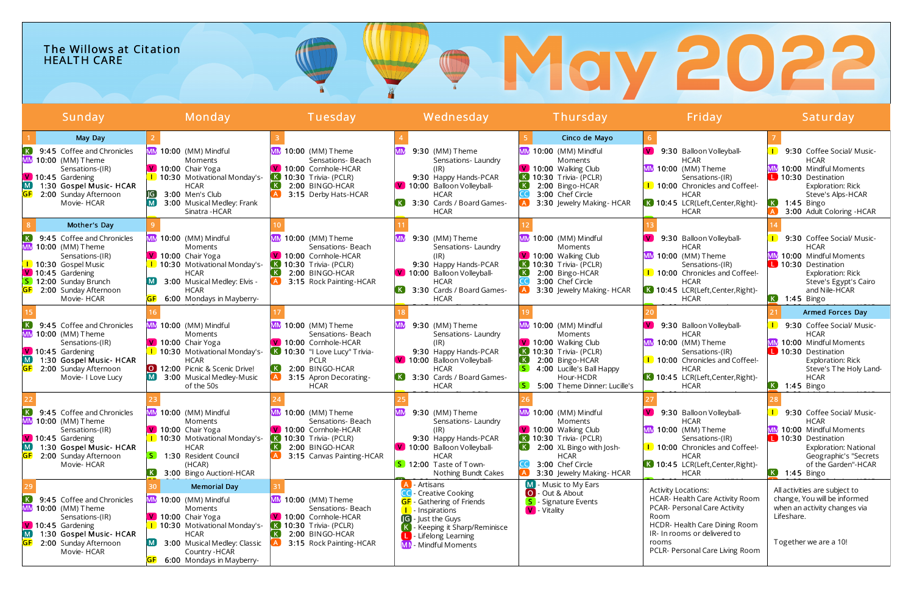|--|

| Sunday                                                                                                                                                                                                                | Monday                                                                                                                                                                                                                           | Tuesday                                                                                                                                                                              | <u>Wednesday</u>                                                                                                                                                                                                                        | Thursday                                                                                                                                                                                        | Friday,                                                                                                                                                                                                            | Saturday                                                                                                                                                                                                |
|-----------------------------------------------------------------------------------------------------------------------------------------------------------------------------------------------------------------------|----------------------------------------------------------------------------------------------------------------------------------------------------------------------------------------------------------------------------------|--------------------------------------------------------------------------------------------------------------------------------------------------------------------------------------|-----------------------------------------------------------------------------------------------------------------------------------------------------------------------------------------------------------------------------------------|-------------------------------------------------------------------------------------------------------------------------------------------------------------------------------------------------|--------------------------------------------------------------------------------------------------------------------------------------------------------------------------------------------------------------------|---------------------------------------------------------------------------------------------------------------------------------------------------------------------------------------------------------|
| May Day<br>9:45 Coffee and Chronicles<br>$K$ .<br><b>MN</b><br>10:00 (MM) Theme<br>Sensations-(IR)<br>V 10:45 Gardening<br>$\lfloor M \rfloor$<br>1:30 Gospel Music- HCAR<br>2:00 Sunday Afternoon<br>Movie-HCAR      | MM 10:00 (MM) Mindful<br><b>Moments</b><br>V 10:00 Chair Yoga<br>1 10:30 Motivational Monday's-<br><b>HCAR</b><br>3:00 Men's Club<br>3:00 Musical Medley: Frank<br>Sinatra - HCAR                                                | MM 10:00 (MM) Theme<br>Sensations- Beach<br>V 10:00 Cornhole-HCAR<br>$\overline{K}$ 10:30 Trivia- (PCLR)<br>2:00 BINGO-HCAR<br>3:15 Derby Hats-HCAR                                  | 9:30 (MM) Theme<br>Sensations-Laundry<br>(IR)<br>9:30 Happy Hands-PCAR<br>V 10:00 Balloon Volleyball-<br><b>HCAR</b><br>3:30 Cards / Board Games-<br><b>HCAR</b>                                                                        | Cinco de Mayo<br>MM 10:00 (MM) Mindful<br>Moments<br>V 10:00 Walking Club<br>$\bf{K}$ 10:30 Trivia- (PCLR)<br>2:00 Bingo-HCAR<br>3:00 Chef Circle<br>3:30 Jewelry Making-HCAR                   | 9:30 Balloon Volleyball-<br><b>HCAR</b><br>$MN$ 10:00 (MM) Theme<br>Sensations-(IR)<br>1 10:00 Chronicles and Coffee!-<br><b>HCAR</b><br>K 10:45 LCR(Left,Center,Right)-<br>HCAR                                   | 9:30 Coffee Social/ Music-<br><b>HCAR</b><br>10:00 Mindful Moments<br>10:30 Destination<br>Exploration: Rick<br>Steve's Alps-HCAR<br>K<br>$1:45$ Bingo<br>$\mathsf{A}$<br>3:00 Adult Coloring - HCAR    |
| Mother's Day<br>9:45 Coffee and Chronicles<br>$\lfloor K \rfloor$<br>10:00 (MM) Theme<br>Sensations-(IR)<br>1 10:30 Gospel Music<br>V 10:45 Gardening<br>S 12:00 Sunday Brunch<br>2:00 Sunday Afternoon<br>Movie-HCAR | MM 10:00 (MM) Mindful<br>Moments<br>V 10:00 Chair Yoga<br>1 10:30 Motivational Monday's-<br><b>HCAR</b><br>3:00 Musical Medley: Elvis -<br><b>HCAR</b><br>6:00 Mondays in Mayberry-                                              | MM 10:00 (MM) Theme<br>Sensations- Beach<br>V 10:00 Cornhole-HCAR<br>$10:30$ Trivia- (PCLR)<br>2:00 BINGO-HCAR<br>3:15 Rock Painting-HCAR                                            | 9:30 (MM) Theme<br>Sensations-Laundry<br>$(\mathsf{IR})$<br>9:30 Happy Hands-PCAR<br>V 10:00 Balloon Volleyball-<br><b>HCAR</b><br>K.<br>3:30 Cards / Board Games-<br><b>HCAR</b>                                                       | MM 10:00 (MM) Mindful<br>Moments<br>V 10:00 Walking Club<br>$\overline{K}$ 10:30 Trivia- (PCLR)<br>2:00 Bingo-HCAR<br>3:00 Chef Circle<br>3:30 Jewelry Making-HCAR                              | 9:30 Balloon Volleyball-<br><b>HCAR</b><br>$MN$ 10:00 (MM) Theme<br>Sensations-(IR)<br>1 10:00 Chronicles and Coffee!-<br><b>HCAR</b><br>K 10:45 LCR(Left,Center,Right)-<br><b>HCAR</b>                            | 9:30 Coffee Social/ Music-<br><b>HCAR</b><br>MM 10:00 Mindful Moments<br>10:30 Destination<br>Exploration: Rick<br>Steve's Egypt's Cairo<br>and Nile-HCAR<br>K 1:45 Bingo                               |
| 9:45 Coffee and Chronicles<br>10:00 (MM) Theme<br>Sensations-(IR)<br>V 10:45 Gardening<br>$\blacksquare$<br>1:30 Gospel Music- HCAR<br>2:00 Sunday Afternoon<br>Movie- I Love Lucy                                    | MM 10:00 (MM) Mindful<br>Moments<br>V 10:00 Chair Yoga<br>1 10:30 Motivational Monday's-<br><b>HCAR</b><br>12:00 Picnic & Scenic Drive!<br>3:00 Musical Medley-Music<br>of the 50s                                               | MM 10:00 (MM) Theme<br>Sensations- Beach<br>V 10:00 Cornhole-HCAR<br>10:30 "I Love Lucy" Trivia-<br><b>PCLR</b><br>2:00 BINGO-HCAR<br>3:15 Apron Decorating-<br><b>HCAR</b>          | 9:30 (MM) Theme<br>Sensations-Laundry<br>9:30 Happy Hands-PCAR<br>V 10:00 Balloon Volleyball-<br><b>HCAR</b><br>3:30 Cards / Board Games-<br><b>HCAR</b>                                                                                | MM 10:00 (MM) Mindful<br>Moments<br>V 10:00 Walking Club<br>$\overline{K}$ 10:30 Trivia- (PCLR)<br>2:00 Bingo-HCAR<br>4:00 Lucille's Ball Happy<br>Hour-HCDR<br>5:00 Theme Dinner: Lucille's    | 9:30 Balloon Volleyball-<br><b>HCAR</b><br>$MN$ 10:00 (MM) Theme<br>Sensations-(IR)<br>1 10:00 Chronicles and Coffee!-<br><b>HCAR</b><br>10:45 LCR(Left,Center,Right)-<br><b>HCAR</b>                              | Armed Forces Day<br>9:30 Coffee Social/ Music-<br><b>HCAR</b><br>МM<br>10:00 Mindful Moments<br>10:30 Destination<br>Exploration: Rick<br>Steve's The Holy Land-<br><b>HCAR</b><br>K 1:45 Bingo         |
| $\mathsf{K}_{\cdot}$<br>9:45 Coffee and Chronicles<br>10:00 (MM) Theme<br>Sensations-(IR)<br>V 10:45 Gardening<br>M<br>1:30 Gospel Music- HCAR<br>2:00 Sunday Afternoon<br>Movie-HCAR                                 | MM 10:00 (MM) Mindful<br>Moments<br>10:00 Chair Yoga<br>1 10:30 Motivational Monday's-<br><b>HCAR</b><br>1:30 Resident Council<br>(HCAR)<br>3:00 Bingo Auction!-HCAR                                                             | MM 10:00 (MM) Theme<br>Sensations- Beach<br>V 10:00 Cornhole-HCAR<br>$\bf{K}$ 10:30 Trivia- (PCLR)<br>K<br>2:00 BINGO-HCAR<br>3:15 Canvas Painting-HCAR                              | 9:30 (MM) Theme<br>Sensations-Laundry<br>(IR)<br>9:30 Happy Hands-PCAR<br>$\mathbf{V}$<br>10:00 Balloon Volleyball-<br><b>HCAR</b><br>S 12:00 Taste of Town-<br>Nothing Bundt Cakes                                                     | MM 10:00 (MM) Mindful<br>Moments<br>V 10:00 Walking Club<br>$\overline{K}$ 10:30 Trivia- (PCLR)<br>K<br>2:00 XL Bingo with Josh-<br><b>HCAR</b><br>3:00 Chef Circle<br>3:30 Jewelry Making-HCAR | 9:30 Balloon Volleyball-<br><b>HCAR</b><br>$MN$ 10:00 (MM) Theme<br>Sensations-(IR)<br>1 10:00 Chronicles and Coffee!-<br><b>HCAR</b><br>K 10:45 LCR(Left,Center,Right)-<br>HCAR                                   | 9:30 Coffee Social/ Music-<br><b>HCAR</b><br>MM 10:00 Mindful Moments<br>10:30 Destination<br><b>Exploration: National</b><br>Geographic's "Secrets<br>of the Garden"-HCAR<br>$\overline{K}$ 1:45 Bingo |
| 9:45 Coffee and Chronicles<br>$\lfloor K \rfloor$<br>MN<br>10:00 (MM) Theme<br>Sensations-(IR)<br>V 10:45 Gardening<br>$\mathbf{M}$<br>1:30 Gospel Music- HCAR<br>2:00 Sunday Afternoon<br>Movie-HCAR                 | <b>Memorial Day</b><br>MM 10:00 (MM) Mindful<br>Moments<br>$\sqrt{V}$ 10:00 Chair Yoga<br>1 10:30 Motivational Monday's-<br><b>HCAR</b><br>3:00 Musical Medley: Classic<br>Country - HCAR<br><b>GF</b> 6:00 Mondays in Mayberry- | <b>MM</b> 10:00 (MM) Theme<br>Sensations- Beach<br>V 10:00 Cornhole-HCAR<br>$\blacksquare$ 10:30 Trivia- (PCLR)<br>$\lfloor K \rfloor$<br>2:00 BINGO-HCAR<br>3:15 Rock Painting-HCAR | A - Artisans<br><b>CC</b> - Creative Cooking<br><b>GF</b> - Gathering of Friends<br><b>I</b> - Inspirations<br><b>IG</b> - Just the Guys<br>- Keeping it Sharp/Reminisce<br><b>L</b> - Lifelong Learning<br><b>MN</b> - Mindful Moments | - Music to My Ears<br><b>O</b> - Out & About<br>- Signature Events<br>V - Vitality                                                                                                              | <b>Activity Locations:</b><br>HCAR- Health Care Activity Room<br>PCAR- Personal Care Activity<br>Room<br>HCDR- Health Care Dining Room<br>IR- In rooms or delivered to<br>rooms<br>PCLR- Personal Care Living Room | All activities are subject to<br>change, You will be informed<br>when an activity changes via<br>Lifeshare.<br>Together we are a 10!                                                                    |